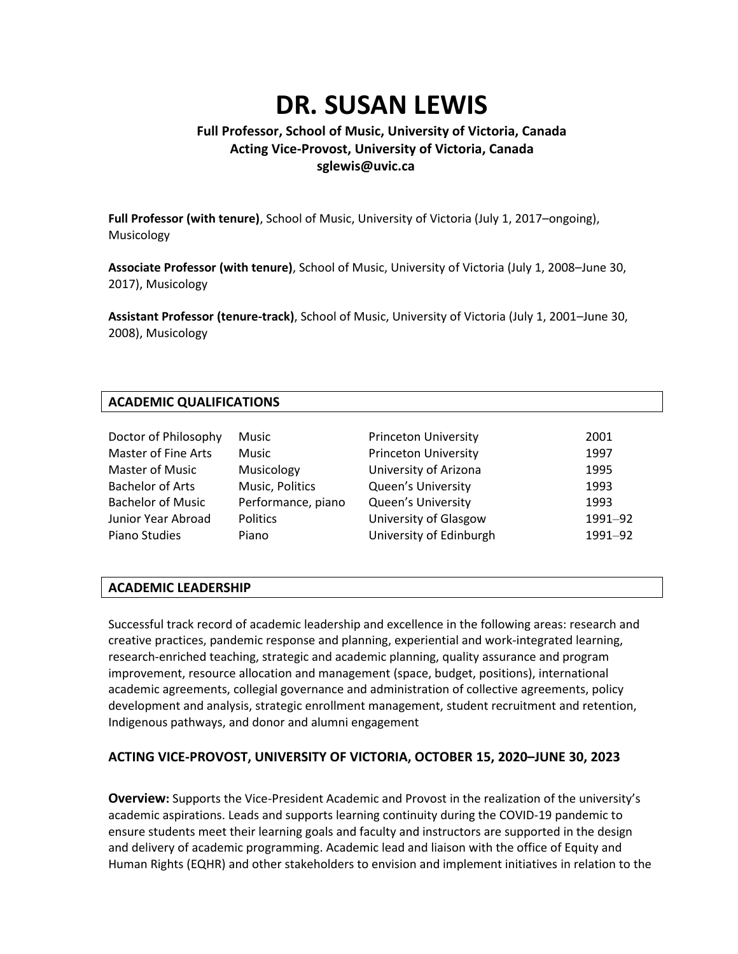# **DR. SUSAN LEWIS**

# **Full Professor, School of Music, University of Victoria, Canada Acting Vice-Provost, University of Victoria, Canada [sglewis@uvic.ca](mailto:sglewis@uvic.ca)**

**Full Professor (with tenure)**, School of Music, University of Victoria (July 1, 2017–ongoing), Musicology

**Associate Professor (with tenure)**, School of Music, University of Victoria (July 1, 2008–June 30, 2017), Musicology

**Assistant Professor (tenure-track)**, School of Music, University of Victoria (July 1, 2001–June 30, 2008), Musicology

# **ACADEMIC QUALIFICATIONS**

| Doctor of Philosophy       | Music              | <b>Princeton University</b> | 2001    |
|----------------------------|--------------------|-----------------------------|---------|
| <b>Master of Fine Arts</b> | Music              | <b>Princeton University</b> | 1997    |
| Master of Music            | Musicology         | University of Arizona       | 1995    |
| <b>Bachelor of Arts</b>    | Music, Politics    | <b>Queen's University</b>   | 1993    |
| <b>Bachelor of Music</b>   | Performance, piano | <b>Queen's University</b>   | 1993    |
| Junior Year Abroad         | <b>Politics</b>    | University of Glasgow       | 1991-92 |
| Piano Studies              | Piano              | University of Edinburgh     | 1991-92 |

# **ACADEMIC LEADERSHIP**

Successful track record of academic leadership and excellence in the following areas: research and creative practices, pandemic response and planning, experiential and work-integrated learning, research-enriched teaching, strategic and academic planning, quality assurance and program improvement, resource allocation and management (space, budget, positions), international academic agreements, collegial governance and administration of collective agreements, policy development and analysis, strategic enrollment management, student recruitment and retention, Indigenous pathways, and donor and alumni engagement

# **ACTING VICE-PROVOST, UNIVERSITY OF VICTORIA, OCTOBER 15, 2020–JUNE 30, 2023**

**Overview:** Supports the Vice-President Academic and Provost in the realization of the university's academic aspirations. Leads and supports learning continuity during the COVID-19 pandemic to ensure students meet their learning goals and faculty and instructors are supported in the design and delivery of academic programming. Academic lead and liaison with the office of Equity and Human Rights (EQHR) and other stakeholders to envision and implement initiatives in relation to the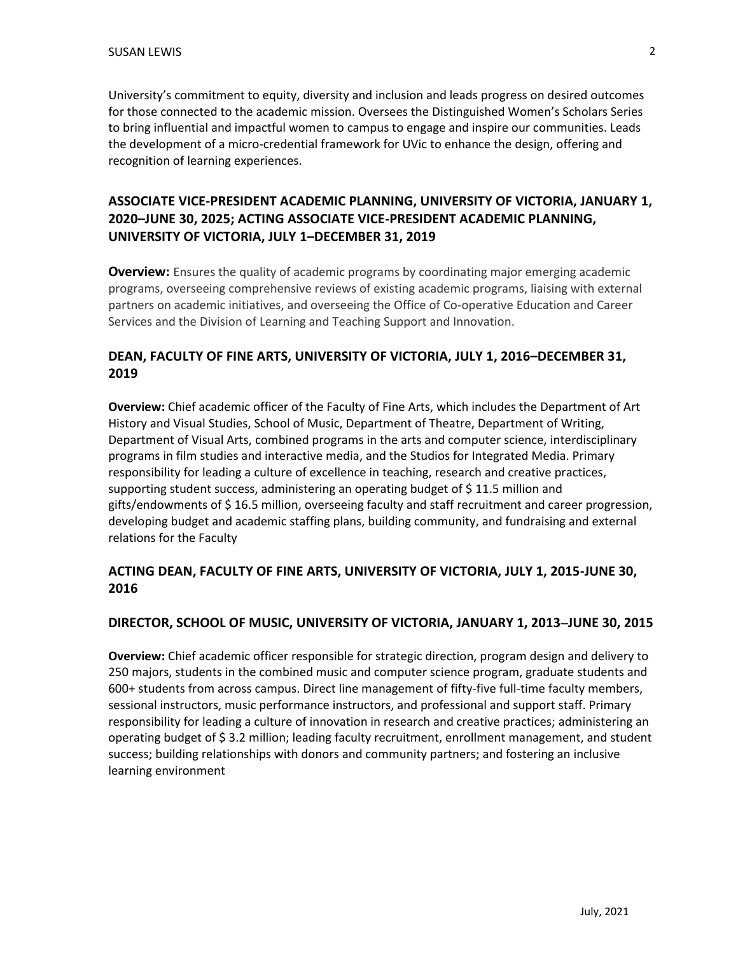University's commitment to equity, diversity and inclusion and leads progress on desired outcomes for those connected to the academic mission. Oversees the Distinguished Women's Scholars Series to bring influential and impactful women to campus to engage and inspire our communities. Leads the development of a micro-credential framework for UVic to enhance the design, offering and recognition of learning experiences.

# **ASSOCIATE VICE-PRESIDENT ACADEMIC PLANNING, UNIVERSITY OF VICTORIA, JANUARY 1, 2020–JUNE 30, 2025; ACTING ASSOCIATE VICE-PRESIDENT ACADEMIC PLANNING, UNIVERSITY OF VICTORIA, JULY 1–DECEMBER 31, 2019**

**Overview:** Ensures the quality of academic programs by coordinating major emerging academic programs, overseeing comprehensive reviews of existing academic programs, liaising with external partners on academic initiatives, and overseeing the Office of Co-operative Education and Career Services and the Division of Learning and Teaching Support and Innovation.

# **DEAN, FACULTY OF FINE ARTS, UNIVERSITY OF VICTORIA, JULY 1, 2016–DECEMBER 31, 2019**

**Overview:** Chief academic officer of the Faculty of Fine Arts, which includes the Department of Art History and Visual Studies, School of Music, Department of Theatre, Department of Writing, Department of Visual Arts, combined programs in the arts and computer science, interdisciplinary programs in film studies and interactive media, and the Studios for Integrated Media. Primary responsibility for leading a culture of excellence in teaching, research and creative practices, supporting student success, administering an operating budget of \$ 11.5 million and gifts/endowments of \$ 16.5 million, overseeing faculty and staff recruitment and career progression, developing budget and academic staffing plans, building community, and fundraising and external relations for the Faculty

# **ACTING DEAN, FACULTY OF FINE ARTS, UNIVERSITY OF VICTORIA, JULY 1, 2015-JUNE 30, 2016**

# **DIRECTOR, SCHOOL OF MUSIC, UNIVERSITY OF VICTORIA, JANUARY 1, 2013‒JUNE 30, 2015**

**Overview:** Chief academic officer responsible for strategic direction, program design and delivery to 250 majors, students in the combined music and computer science program, graduate students and 600+ students from across campus. Direct line management of fifty-five full-time faculty members, sessional instructors, music performance instructors, and professional and support staff. Primary responsibility for leading a culture of innovation in research and creative practices; administering an operating budget of \$ 3.2 million; leading faculty recruitment, enrollment management, and student success; building relationships with donors and community partners; and fostering an inclusive learning environment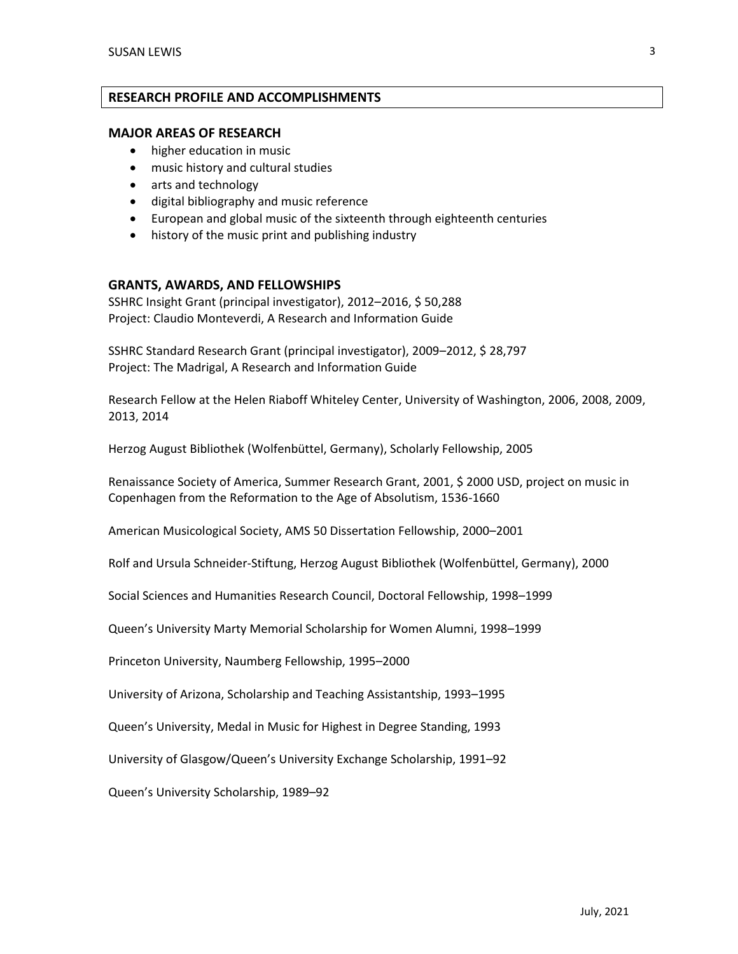#### **RESEARCH PROFILE AND ACCOMPLISHMENTS**

#### **MAJOR AREAS OF RESEARCH**

- higher education in music
- music history and cultural studies
- arts and technology
- digital bibliography and music reference
- European and global music of the sixteenth through eighteenth centuries
- history of the music print and publishing industry

#### **GRANTS, AWARDS, AND FELLOWSHIPS**

SSHRC Insight Grant (principal investigator), 2012–2016, \$ 50,288 Project: Claudio Monteverdi, A Research and Information Guide

SSHRC Standard Research Grant (principal investigator), 2009–2012, \$ 28,797 Project: The Madrigal, A Research and Information Guide

Research Fellow at the Helen Riaboff Whiteley Center, University of Washington, 2006, 2008, 2009, 2013, 2014

Herzog August Bibliothek (Wolfenbüttel, Germany), Scholarly Fellowship, 2005

Renaissance Society of America, Summer Research Grant, 2001, \$ 2000 USD, project on music in Copenhagen from the Reformation to the Age of Absolutism, 1536-1660

American Musicological Society, AMS 50 Dissertation Fellowship, 2000–2001

Rolf and Ursula Schneider-Stiftung, Herzog August Bibliothek (Wolfenbüttel, Germany), 2000

Social Sciences and Humanities Research Council, Doctoral Fellowship, 1998–1999

Queen's University Marty Memorial Scholarship for Women Alumni, 1998–1999

Princeton University, Naumberg Fellowship, 1995–2000

University of Arizona, Scholarship and Teaching Assistantship, 1993–1995

Queen's University, Medal in Music for Highest in Degree Standing, 1993

University of Glasgow/Queen's University Exchange Scholarship, 1991–92

Queen's University Scholarship, 1989–92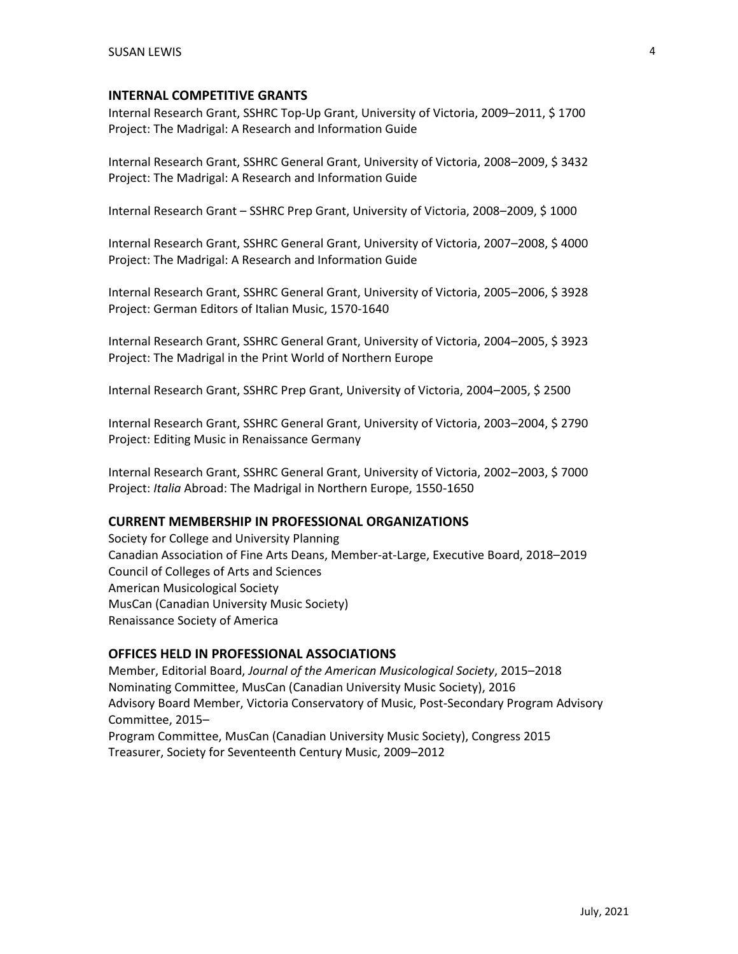#### **INTERNAL COMPETITIVE GRANTS**

Internal Research Grant, SSHRC Top-Up Grant, University of Victoria, 2009–2011, \$ 1700 Project: The Madrigal: A Research and Information Guide

Internal Research Grant, SSHRC General Grant, University of Victoria, 2008–2009, \$ 3432 Project: The Madrigal: A Research and Information Guide

Internal Research Grant – SSHRC Prep Grant, University of Victoria, 2008–2009, \$ 1000

Internal Research Grant, SSHRC General Grant, University of Victoria, 2007–2008, \$ 4000 Project: The Madrigal: A Research and Information Guide

Internal Research Grant, SSHRC General Grant, University of Victoria, 2005–2006, \$ 3928 Project: German Editors of Italian Music, 1570-1640

Internal Research Grant, SSHRC General Grant, University of Victoria, 2004–2005, \$ 3923 Project: The Madrigal in the Print World of Northern Europe

Internal Research Grant, SSHRC Prep Grant, University of Victoria, 2004–2005, \$ 2500

Internal Research Grant, SSHRC General Grant, University of Victoria, 2003–2004, \$ 2790 Project: Editing Music in Renaissance Germany

Internal Research Grant, SSHRC General Grant, University of Victoria, 2002–2003, \$ 7000 Project: *Italia* Abroad: The Madrigal in Northern Europe, 1550-1650

#### **CURRENT MEMBERSHIP IN PROFESSIONAL ORGANIZATIONS**

Society for College and University Planning Canadian Association of Fine Arts Deans, Member-at-Large, Executive Board, 2018–2019 Council of Colleges of Arts and Sciences American Musicological Society MusCan (Canadian University Music Society) Renaissance Society of America

#### **OFFICES HELD IN PROFESSIONAL ASSOCIATIONS**

Member, Editorial Board, *Journal of the American Musicological Society*, 2015–2018 Nominating Committee, MusCan (Canadian University Music Society), 2016 Advisory Board Member, Victoria Conservatory of Music, Post-Secondary Program Advisory Committee, 2015–

Program Committee, MusCan (Canadian University Music Society), Congress 2015 Treasurer, Society for Seventeenth Century Music, 2009–2012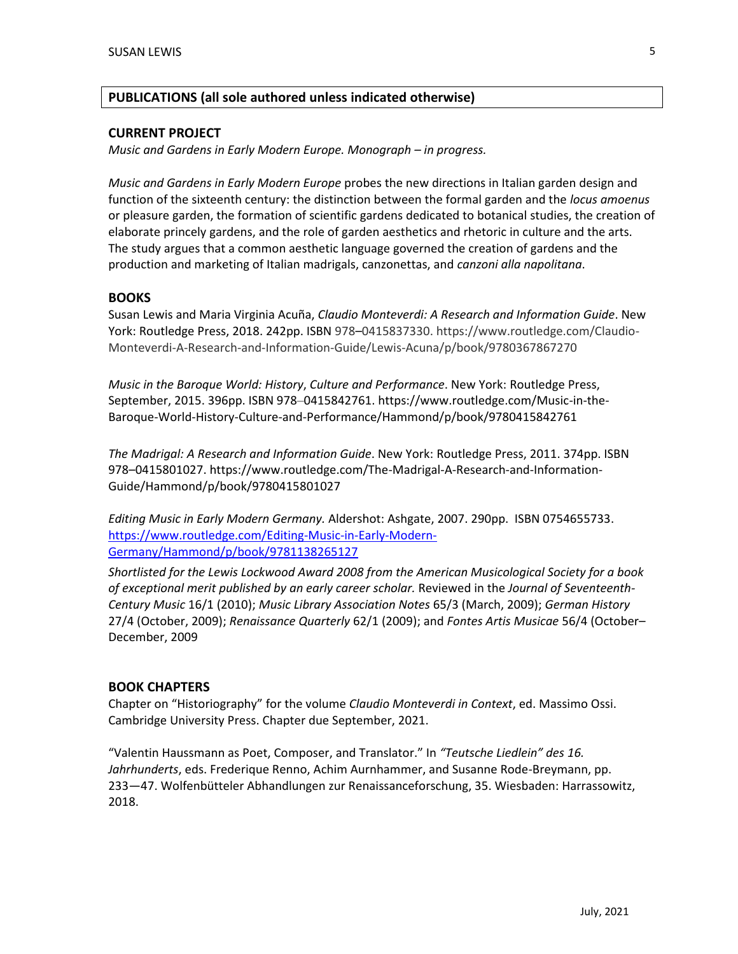# **PUBLICATIONS (all sole authored unless indicated otherwise)**

#### **CURRENT PROJECT**

*Music and Gardens in Early Modern Europe. Monograph – in progress.* 

*Music and Gardens in Early Modern Europe* probes the new directions in Italian garden design and function of the sixteenth century: the distinction between the formal garden and the *locus amoenus*  or pleasure garden, the formation of scientific gardens dedicated to botanical studies, the creation of elaborate princely gardens, and the role of garden aesthetics and rhetoric in culture and the arts. The study argues that a common aesthetic language governed the creation of gardens and the production and marketing of Italian madrigals, canzonettas, and *canzoni alla napolitana*.

# **BOOKS**

Susan Lewis and Maria Virginia Acuña, *Claudio Monteverdi: A Research and Information Guide*. New York: Routledge Press, 2018. 242pp. ISBN 978–0415837330. https://www.routledge.com/Claudio-Monteverdi-A-Research-and-Information-Guide/Lewis-Acuna/p/book/9780367867270

*Music in the Baroque World: History*, *Culture and Performance*. New York: Routledge Press, September, 2015. 396pp. ISBN 978‒0415842761. https://www.routledge.com/Music-in-the-Baroque-World-History-Culture-and-Performance/Hammond/p/book/9780415842761

*The Madrigal: A Research and Information Guide*. New York: Routledge Press, 2011. 374pp. ISBN 978–0415801027. https://www.routledge.com/The-Madrigal-A-Research-and-Information-Guide/Hammond/p/book/9780415801027

*Editing Music in Early Modern Germany.* Aldershot: Ashgate, 2007. 290pp. ISBN 0754655733. [https://www.routledge.com/Editing-Music-in-Early-Modern-](https://www.routledge.com/Editing-Music-in-Early-Modern-Germany/Hammond/p/book/9781138265127)[Germany/Hammond/p/book/9781138265127](https://www.routledge.com/Editing-Music-in-Early-Modern-Germany/Hammond/p/book/9781138265127)

*Shortlisted for the Lewis Lockwood Award 2008 from the American Musicological Society for a book of exceptional merit published by an early career scholar.* Reviewed in the *Journal of Seventeenth-Century Music* 16/1 (2010); *Music Library Association Notes* 65/3 (March, 2009); *German History* 27/4 (October, 2009); *Renaissance Quarterly* 62/1 (2009); and *Fontes Artis Musicae* 56/4 (October– December, 2009

#### **BOOK CHAPTERS**

Chapter on "Historiography" for the volume *Claudio Monteverdi in Context*, ed. Massimo Ossi. Cambridge University Press. Chapter due September, 2021.

"Valentin Haussmann as Poet, Composer, and Translator." In *"Teutsche Liedlein" des 16. Jahrhunderts*, eds. Frederique Renno, Achim Aurnhammer, and Susanne Rode-Breymann, pp. 233―47. Wolfenbütteler Abhandlungen zur Renaissanceforschung, 35. Wiesbaden: Harrassowitz, 2018.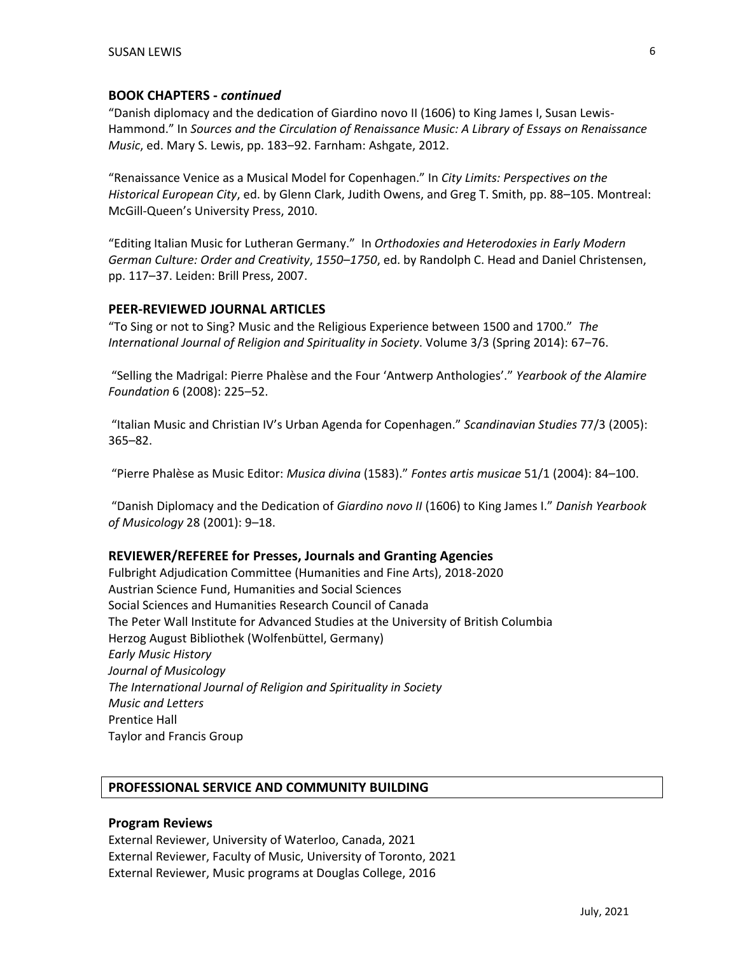# **BOOK CHAPTERS -** *continued*

"Danish diplomacy and the dedication of Giardino novo II (1606) to King James I, Susan Lewis-Hammond." In *Sources and the Circulation of Renaissance Music: A Library of Essays on Renaissance Music*, ed. Mary S. Lewis, pp. 183‒92. Farnham: Ashgate, 2012.

"Renaissance Venice as a Musical Model for Copenhagen." In *City Limits: Perspectives on the Historical European City*, ed. by Glenn Clark, Judith Owens, and Greg T. Smith, pp. 88–105. Montreal: McGill-Queen's University Press, 2010.

"Editing Italian Music for Lutheran Germany." In *Orthodoxies and Heterodoxies in Early Modern German Culture: Order and Creativity*, *1550–1750*, ed. by Randolph C. Head and Daniel Christensen, pp. 117–37. Leiden: Brill Press, 2007.

## **PEER-REVIEWED JOURNAL ARTICLES**

"To Sing or not to Sing? Music and the Religious Experience between 1500 and 1700." *The International Journal of Religion and Spirituality in Society*. Volume 3/3 (Spring 2014): 67‒76.

"Selling the Madrigal: Pierre Phalèse and the Four 'Antwerp Anthologies'." *Yearbook of the Alamire Foundation* 6 (2008): 225–52.

"Italian Music and Christian IV's Urban Agenda for Copenhagen." *Scandinavian Studies* 77/3 (2005): 365–82.

"Pierre Phalèse as Music Editor: *Musica divina* (1583)." *Fontes artis musicae* 51/1 (2004): 84–100.

"Danish Diplomacy and the Dedication of *Giardino novo II* (1606) to King James I." *Danish Yearbook of Musicology* 28 (2001): 9–18.

#### **REVIEWER/REFEREE for Presses, Journals and Granting Agencies**

Fulbright Adjudication Committee (Humanities and Fine Arts), 2018-2020 Austrian Science Fund, Humanities and Social Sciences Social Sciences and Humanities Research Council of Canada The Peter Wall Institute for Advanced Studies at the University of British Columbia Herzog August Bibliothek (Wolfenbüttel, Germany) *Early Music History Journal of Musicology The International Journal of Religion and Spirituality in Society Music and Letters* Prentice Hall Taylor and Francis Group

#### **PROFESSIONAL SERVICE AND COMMUNITY BUILDING**

#### **Program Reviews**

External Reviewer, University of Waterloo, Canada, 2021 External Reviewer, Faculty of Music, University of Toronto, 2021 External Reviewer, Music programs at Douglas College, 2016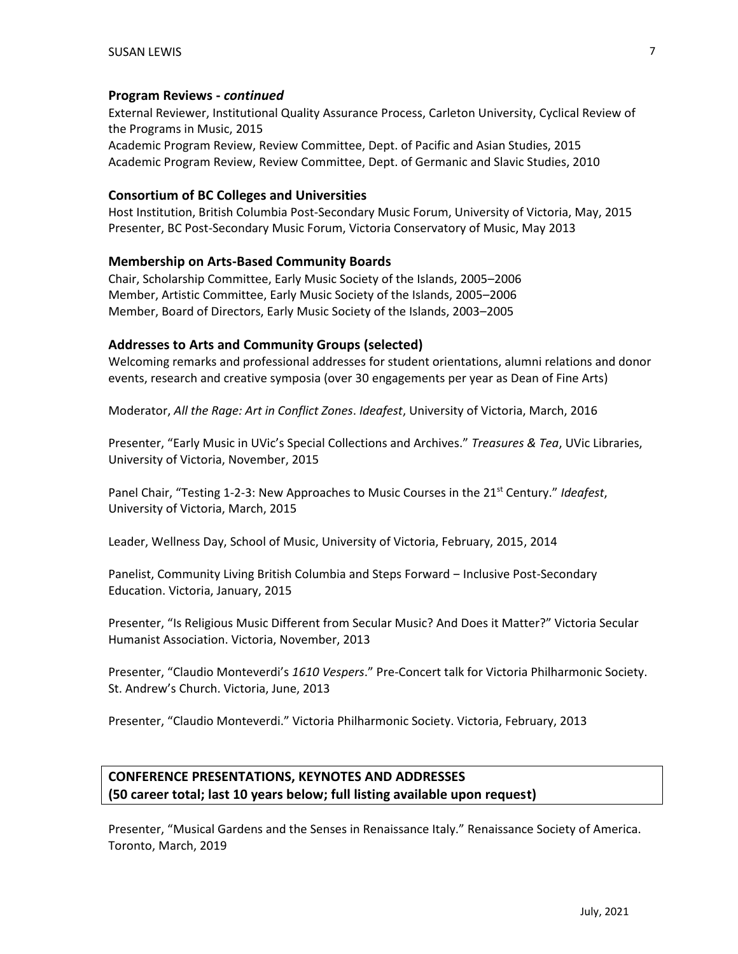#### **Program Reviews -** *continued*

External Reviewer, Institutional Quality Assurance Process, Carleton University, Cyclical Review of the Programs in Music, 2015 Academic Program Review, Review Committee, Dept. of Pacific and Asian Studies, 2015 Academic Program Review, Review Committee, Dept. of Germanic and Slavic Studies, 2010

#### **Consortium of BC Colleges and Universities**

Host Institution, British Columbia Post-Secondary Music Forum, University of Victoria, May, 2015 Presenter, BC Post-Secondary Music Forum, Victoria Conservatory of Music, May 2013

#### **Membership on Arts-Based Community Boards**

Chair, Scholarship Committee, Early Music Society of the Islands, 2005–2006 Member, Artistic Committee, Early Music Society of the Islands, 2005–2006 Member, Board of Directors, Early Music Society of the Islands, 2003–2005

#### **Addresses to Arts and Community Groups (selected)**

Welcoming remarks and professional addresses for student orientations, alumni relations and donor events, research and creative symposia (over 30 engagements per year as Dean of Fine Arts)

Moderator, *All the Rage: Art in Conflict Zones*. *Ideafest*, University of Victoria, March, 2016

Presenter, "Early Music in UVic's Special Collections and Archives." *Treasures & Tea*, UVic Libraries, University of Victoria, November, 2015

Panel Chair, "Testing 1-2-3: New Approaches to Music Courses in the 21<sup>st</sup> Century." *Ideafest*, University of Victoria, March, 2015

Leader, Wellness Day, School of Music, University of Victoria, February, 2015, 2014

Panelist, Community Living British Columbia and Steps Forward - Inclusive Post-Secondary Education. Victoria, January, 2015

Presenter, "Is Religious Music Different from Secular Music? And Does it Matter?" Victoria Secular Humanist Association. Victoria, November, 2013

Presenter, "Claudio Monteverdi's *1610 Vespers*." Pre-Concert talk for Victoria Philharmonic Society. St. Andrew's Church. Victoria, June, 2013

Presenter, "Claudio Monteverdi." Victoria Philharmonic Society. Victoria, February, 2013

# **CONFERENCE PRESENTATIONS, KEYNOTES AND ADDRESSES (50 career total; last 10 years below; full listing available upon request)**

Presenter, "Musical Gardens and the Senses in Renaissance Italy." Renaissance Society of America. Toronto, March, 2019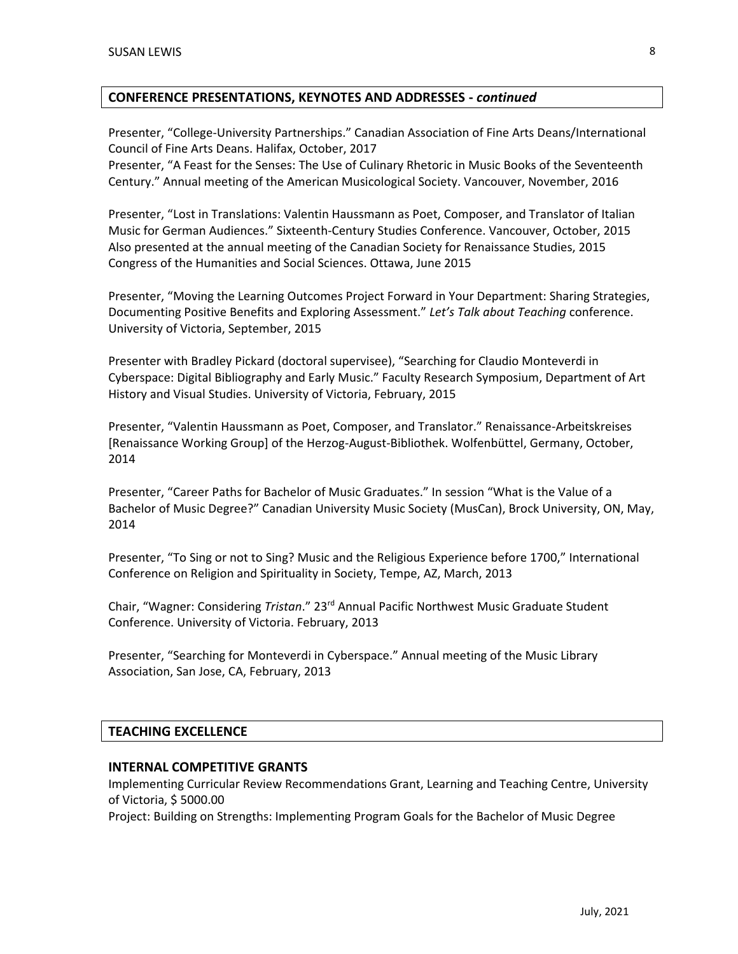## **CONFERENCE PRESENTATIONS, KEYNOTES AND ADDRESSES -** *continued*

Presenter, "College-University Partnerships." Canadian Association of Fine Arts Deans/International Council of Fine Arts Deans. Halifax, October, 2017

Presenter, "A Feast for the Senses: The Use of Culinary Rhetoric in Music Books of the Seventeenth Century." Annual meeting of the American Musicological Society. Vancouver, November, 2016

Presenter, "Lost in Translations: Valentin Haussmann as Poet, Composer, and Translator of Italian Music for German Audiences." Sixteenth-Century Studies Conference. Vancouver, October, 2015 Also presented at the annual meeting of the Canadian Society for Renaissance Studies, 2015 Congress of the Humanities and Social Sciences. Ottawa, June 2015

Presenter, "Moving the Learning Outcomes Project Forward in Your Department: Sharing Strategies, Documenting Positive Benefits and Exploring Assessment." *Let's Talk about Teaching* conference. University of Victoria, September, 2015

Presenter with Bradley Pickard (doctoral supervisee), "Searching for Claudio Monteverdi in Cyberspace: Digital Bibliography and Early Music." Faculty Research Symposium, Department of Art History and Visual Studies. University of Victoria, February, 2015

Presenter, "Valentin Haussmann as Poet, Composer, and Translator." Renaissance-Arbeitskreises [Renaissance Working Group] of the Herzog-August-Bibliothek. Wolfenbüttel, Germany, October, 2014

Presenter, "Career Paths for Bachelor of Music Graduates." In session "What is the Value of a Bachelor of Music Degree?" Canadian University Music Society (MusCan), Brock University, ON, May, 2014

Presenter, "To Sing or not to Sing? Music and the Religious Experience before 1700," International Conference on Religion and Spirituality in Society, Tempe, AZ, March, 2013

Chair, "Wagner: Considering *Tristan*." 23rd Annual Pacific Northwest Music Graduate Student Conference. University of Victoria. February, 2013

Presenter, "Searching for Monteverdi in Cyberspace." Annual meeting of the Music Library Association, San Jose, CA, February, 2013

# **TEACHING EXCELLENCE**

#### **INTERNAL COMPETITIVE GRANTS**

Implementing Curricular Review Recommendations Grant, Learning and Teaching Centre, University of Victoria, \$ 5000.00

Project: Building on Strengths: Implementing Program Goals for the Bachelor of Music Degree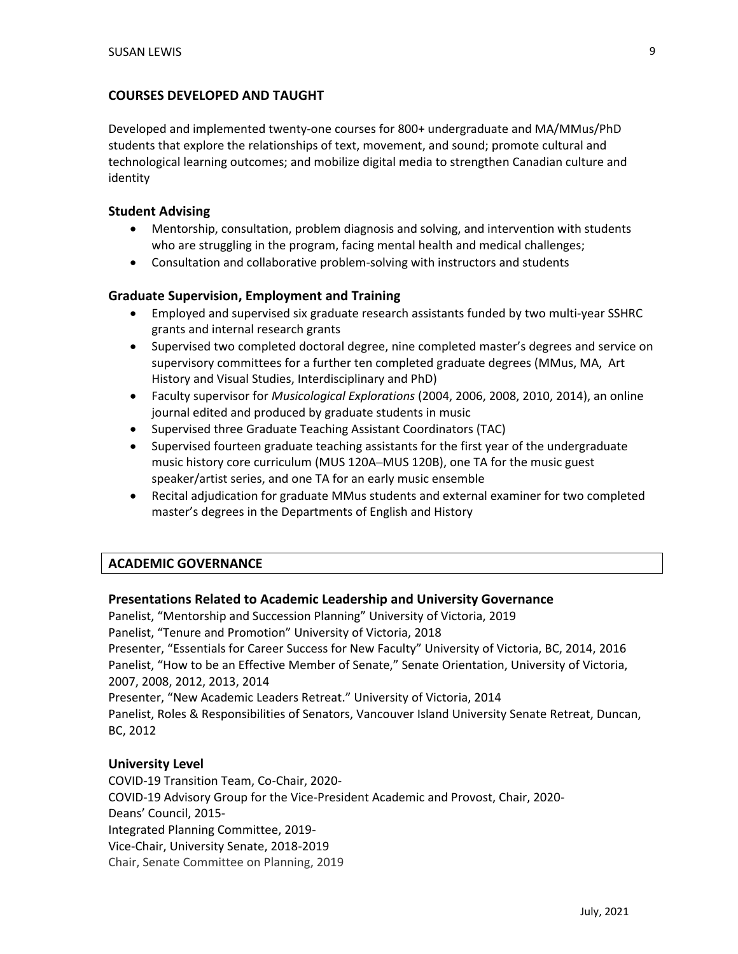# **COURSES DEVELOPED AND TAUGHT**

Developed and implemented twenty-one courses for 800+ undergraduate and MA/MMus/PhD students that explore the relationships of text, movement, and sound; promote cultural and technological learning outcomes; and mobilize digital media to strengthen Canadian culture and identity

## **Student Advising**

- Mentorship, consultation, problem diagnosis and solving, and intervention with students who are struggling in the program, facing mental health and medical challenges;
- Consultation and collaborative problem-solving with instructors and students

# **Graduate Supervision, Employment and Training**

- Employed and supervised six graduate research assistants funded by two multi-year SSHRC grants and internal research grants
- Supervised two completed doctoral degree, nine completed master's degrees and service on supervisory committees for a further ten completed graduate degrees (MMus, MA, Art History and Visual Studies, Interdisciplinary and PhD)
- Faculty supervisor for *Musicological Explorations* (2004, 2006, 2008, 2010, 2014), an online journal edited and produced by graduate students in music
- Supervised three Graduate Teaching Assistant Coordinators (TAC)
- Supervised fourteen graduate teaching assistants for the first year of the undergraduate music history core curriculum (MUS 120A-MUS 120B), one TA for the music guest speaker/artist series, and one TA for an early music ensemble
- Recital adjudication for graduate MMus students and external examiner for two completed master's degrees in the Departments of English and History

# **ACADEMIC GOVERNANCE**

#### **Presentations Related to Academic Leadership and University Governance**

Panelist, "Mentorship and Succession Planning" University of Victoria, 2019 Panelist, "Tenure and Promotion" University of Victoria, 2018 Presenter, "Essentials for Career Success for New Faculty" University of Victoria, BC, 2014, 2016 Panelist, "How to be an Effective Member of Senate," Senate Orientation, University of Victoria, 2007, 2008, 2012, 2013, 2014 Presenter, "New Academic Leaders Retreat." University of Victoria, 2014 Panelist, Roles & Responsibilities of Senators, Vancouver Island University Senate Retreat, Duncan, BC, 2012

#### **University Level**

COVID-19 Transition Team, Co-Chair, 2020- COVID-19 Advisory Group for the Vice-President Academic and Provost, Chair, 2020- Deans' Council, 2015- Integrated Planning Committee, 2019- Vice-Chair, University Senate, 2018-2019 Chair, Senate Committee on Planning, 2019